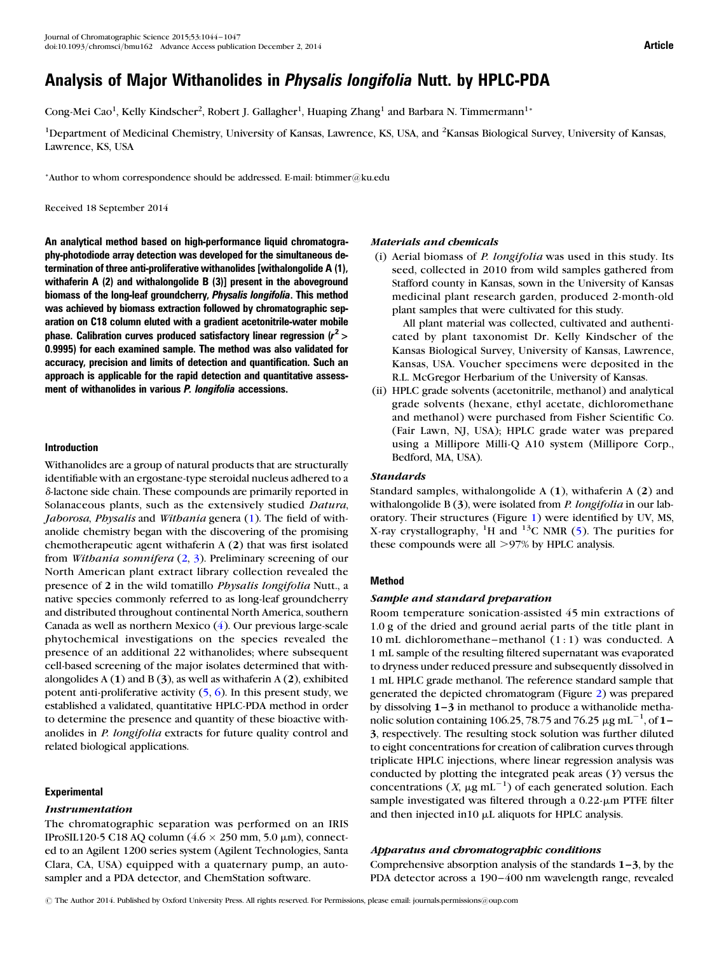# Analysis of Major Withanolides in Physalis longifolia Nutt. by HPLC-PDA

Cong-Mei Cao<sup>1</sup>, Kelly Kindscher<sup>2</sup>, Robert J. Gallagher<sup>1</sup>, Huaping Zhang<sup>1</sup> and Barbara N. Timmermann<sup>1</sup>\*

<sup>1</sup>Department of Medicinal Chemistry, University of Kansas, Lawrence, KS, USA, and <sup>2</sup>Kansas Biological Survey, University of Kansas, Lawrence, KS, USA

\*Author to whom correspondence should be addressed. E-mail: btimmer@ku.edu

Received 18 September 2014

An analytical method based on high-performance liquid chromatography-photodiode array detection was developed for the simultaneous determination of three anti-proliferative withanolides [withalongolide A (1), withaferin A (2) and withalongolide B (3)] present in the aboveground biomass of the long-leaf groundcherry, Physalis longifolia. This method was achieved by biomass extraction followed by chromatographic separation on C18 column eluted with a gradient acetonitrile-water mobile phase. Calibration curves produced satisfactory linear regression ( $r^2$   $>$ 0.9995) for each examined sample. The method was also validated for accuracy, precision and limits of detection and quantification. Such an approach is applicable for the rapid detection and quantitative assessment of withanolides in various P. longifolia accessions.

## Introduction

Withanolides are a group of natural products that are structurally identifiable with an ergostane-type steroidal nucleus adhered to a <sup>d</sup>-lactone side chain. These compounds are primarily reported in Solanaceous plants, such as the extensively studied Datura, Jaborosa, Physalis and Withania genera [\(1\)](#page-3-0). The field of withanolide chemistry began with the discovering of the promising chemotherapeutic agent withaferin A (2) that was first isolated from Withania somnifera  $(2, 3)$  $(2, 3)$  $(2, 3)$  $(2, 3)$ . Preliminary screening of our North American plant extract library collection revealed the presence of 2 in the wild tomatillo Physalis longifolia Nutt., a native species commonly referred to as long-leaf groundcherry and distributed throughout continental North America, southern Canada as well as northern Mexico ([4\)](#page-3-0). Our previous large-scale phytochemical investigations on the species revealed the presence of an additional 22 withanolides; where subsequent cell-based screening of the major isolates determined that withalongolides  $A(1)$  and  $B(3)$ , as well as withaferin  $A(2)$ , exhibited potent anti-proliferative activity  $(5, 6)$  $(5, 6)$  $(5, 6)$  $(5, 6)$  $(5, 6)$ . In this present study, we established a validated, quantitative HPLC-PDA method in order to determine the presence and quantity of these bioactive withanolides in P. longifolia extracts for future quality control and related biological applications.

## **Experimental**

#### Instrumentation

The chromatographic separation was performed on an IRIS IProSIL120-5 C18 AQ column ( $4.6 \times 250$  mm, 5.0  $\mu$ m), connected to an Agilent 1200 series system (Agilent Technologies, Santa Clara, CA, USA) equipped with a quaternary pump, an autosampler and a PDA detector, and ChemStation software.

# Materials and chemicals

(i) Aerial biomass of P. longifolia was used in this study. Its seed, collected in 2010 from wild samples gathered from Stafford county in Kansas, sown in the University of Kansas medicinal plant research garden, produced 2-month-old plant samples that were cultivated for this study.

All plant material was collected, cultivated and authenticated by plant taxonomist Dr. Kelly Kindscher of the Kansas Biological Survey, University of Kansas, Lawrence, Kansas, USA. Voucher specimens were deposited in the R.L. McGregor Herbarium of the University of Kansas.

(ii) HPLC grade solvents (acetonitrile, methanol) and analytical grade solvents (hexane, ethyl acetate, dichloromethane and methanol) were purchased from Fisher Scientific Co. (Fair Lawn, NJ, USA); HPLC grade water was prepared using a Millipore Milli-Q A10 system (Millipore Corp., Bedford, MA, USA).

# Standards

Standard samples, withalongolide A (1), withaferin A (2) and withalongolide  $B(3)$ , were isolated from *P. longifolia* in our laboratory. Their structures (Figure [1\)](#page-1-0) were identified by UV, MS, X-ray crystallography,  ${}^{1}$ H and  ${}^{13}$ C NMR ([5\)](#page-3-0). The purities for these compounds were all  $>97\%$  by HPLC analysis.

## Method

#### Sample and standard preparation

Room temperature sonication-assisted 45 min extractions of 1.0 g of the dried and ground aerial parts of the title plant in 10 mL dichloromethane –methanol (1 : 1) was conducted. A 1 mL sample of the resulting filtered supernatant was evaporated to dryness under reduced pressure and subsequently dissolved in 1 mL HPLC grade methanol. The reference standard sample that generated the depicted chromatogram (Figure [2\)](#page-1-0) was prepared by dissolving 1–3 in methanol to produce a withanolide methanolic solution containing 106.25, 78.75 and 76.25  $\mu$ g mL<sup>-1</sup>, of 1-3, respectively. The resulting stock solution was further diluted to eight concentrations for creation of calibration curves through triplicate HPLC injections, where linear regression analysis was conducted by plotting the integrated peak areas (Y) versus the concentrations  $(X, \mu g \text{ mL}^{-1})$  of each generated solution. Each sample investigated was filtered through a  $0.22$ - $\mu$ m PTFE filter and then injected in  $10 \mu$ L aliquots for HPLC analysis.

## Apparatus and chromatographic conditions

Comprehensive absorption analysis of the standards 1–3, by the PDA detector across a 190-400 nm wavelength range, revealed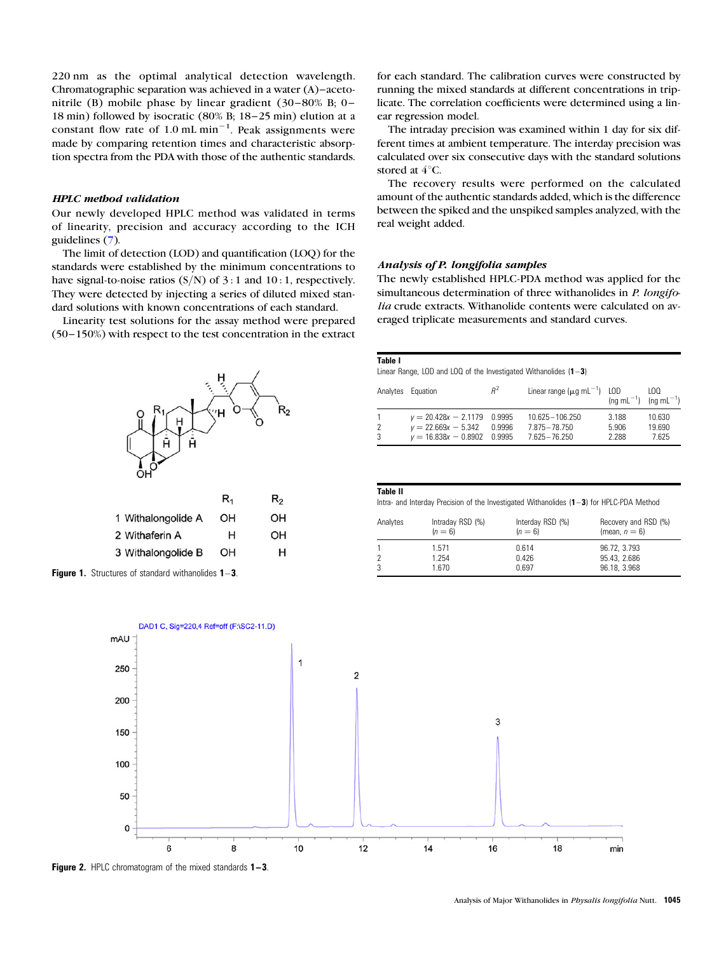<span id="page-1-0"></span>220 nm as the optimal analytical detection wavelength. Chromatographic separation was achieved in a water (A)–acetonitrile (B) mobile phase by linear gradient  $(30-80\%$  B; 0-18 min) followed by isocratic  $(80\% \text{ B}; 18-25 \text{ min})$  elution at a constant flow rate of  $1.0 \text{ mL min}^{-1}$ . Peak assignments were made by comparing retention times and characteristic absorption spectra from the PDA with those of the authentic standards.

#### HPLC method validation

Our newly developed HPLC method was validated in terms of linearity, precision and accuracy according to the ICH guidelines [\(7](#page-3-0)).

The limit of detection (LOD) and quantification (LOQ) for the standards were established by the minimum concentrations to have signal-to-noise ratios  $(S/N)$  of 3 : 1 and 10 : 1, respectively. They were detected by injecting a series of diluted mixed standard solutions with known concentrations of each standard.

Linearity test solutions for the assay method were prepared (50–150%) with respect to the test concentration in the extract



Figure 1. Structures of standard withanolides 1-3.

for each standard. The calibration curves were constructed by running the mixed standards at different concentrations in triplicate. The correlation coefficients were determined using a linear regression model.

The intraday precision was examined within 1 day for six different times at ambient temperature. The interday precision was calculated over six consecutive days with the standard solutions stored at  $4^{\circ}$ C.

The recovery results were performed on the calculated amount of the authentic standards added, which is the difference between the spiked and the unspiked samples analyzed, with the real weight added.

# Analysis of P. longifolia samples

The newly established HPLC-PDA method was applied for the simultaneous determination of three withanolides in *P. longifo*lia crude extracts. Withanolide contents were calculated on averaged triplicate measurements and standard curves.

| Table I<br>Linear Range, LOD and LOQ of the Investigated Withanolides $(1-3)$ |                                                                           |                            |                                                      |                               |                           |  |  |  |  |
|-------------------------------------------------------------------------------|---------------------------------------------------------------------------|----------------------------|------------------------------------------------------|-------------------------------|---------------------------|--|--|--|--|
| Analytes                                                                      | Equation                                                                  | $R^2$                      | Linear range $(\mu q \text{ mL}^{-1})$ LOD           | $(nq ml^{-1})$ $(nq ml^{-1})$ | 100                       |  |  |  |  |
| 1<br>$\overline{\phantom{a}}$<br>3                                            | $y = 20.428x - 2.1179$<br>$v = 22.669x - 5.342$<br>$v = 16.838x - 0.8902$ | 0.9995<br>0.9996<br>0.9995 | $10.625 - 106.250$<br>7.875 - 78.750<br>7.625-76.250 | 3.188<br>5.906<br>2.288       | 10.630<br>19.690<br>7.625 |  |  |  |  |

#### Table II

Intra- and Interday Precision of the Investigated Withanolides (1–3) for HPLC-PDA Method

| Analytes | Intraday RSD (%)<br>$(n=6)$ | Interday RSD (%)<br>$(n=6)$ | Recovery and RSD (%)<br>(mean, $n = 6$ ) |
|----------|-----------------------------|-----------------------------|------------------------------------------|
|          | 1.571                       | 0.614                       | 96.72, 3.793                             |
|          | 1.254                       | 0.426                       | 95.43, 2.686                             |
|          | 1.670                       | 0.697                       | 96.18, 3.968                             |



Figure 2. HPLC chromatogram of the mixed standards 1-3.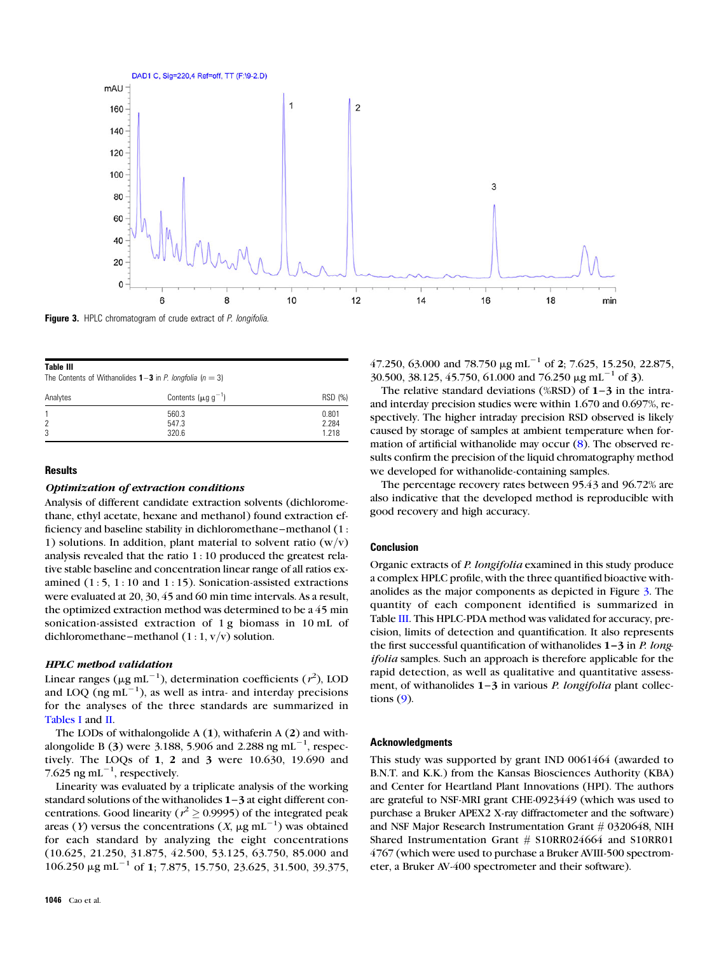

Figure 3. HPLC chromatogram of crude extract of P. longifolia.

| <b>Table III</b><br>The Contents of Withanolides $1-3$ in P. longfolia ( $n = 3$ ) |                           |         |  |  |  |  |
|------------------------------------------------------------------------------------|---------------------------|---------|--|--|--|--|
| Analytes                                                                           | Contents $(\mu q q^{-1})$ | RSD (%) |  |  |  |  |
|                                                                                    | 560.3                     | 0.801   |  |  |  |  |
|                                                                                    | 547.3                     | 2.284   |  |  |  |  |
| 3                                                                                  | 320.6                     | 1.218   |  |  |  |  |

# **Results**

# Optimization of extraction conditions

Analysis of different candidate extraction solvents (dichloromethane, ethyl acetate, hexane and methanol) found extraction efficiency and baseline stability in dichloromethane–methanol (1 : 1) solutions. In addition, plant material to solvent ratio  $(w/v)$ analysis revealed that the ratio 1 : 10 produced the greatest relative stable baseline and concentration linear range of all ratios examined  $(1:5, 1:10$  and  $1:15)$ . Sonication-assisted extractions were evaluated at 20, 30, 45 and 60 min time intervals. As a result, the optimized extraction method was determined to be a 45 min sonication-assisted extraction of 1 g biomass in 10 mL of dichloromethane–methanol  $(1:1, v/v)$  solution.

#### HPLC method validation

Linear ranges ( $\mu$ g mL<sup>-1</sup>), determination coefficients ( $r^2$ ), LOD and LOQ (ng  $mL^{-1}$ ), as well as intra- and interday precisions for the analyses of the three standards are summarized in [Tables I](#page-1-0) and [II](#page-1-0).

The LODs of withalongolide A  $(1)$ , withaferin A  $(2)$  and withalongolide B (3) were 3.188, 5.906 and 2.288 ng mL $^{-1}$ , respectively. The LOQs of 1, 2 and 3 were 10.630, 19.690 and 7.625 ng mL $^{-1}$ , respectively.

Linearity was evaluated by a triplicate analysis of the working standard solutions of the withanolides 1–3 at eight different concentrations. Good linearity ( $r^2 \ge 0.9995$ ) of the integrated peak areas (Y) versus the concentrations (X,  $\mu$ g mL<sup>-1</sup>) was obtained for each standard by analyzing the eight concentrations (10.625, 21.250, 31.875, 42.500, 53.125, 63.750, 85.000 and 106.250  $\mu$ g mL<sup>-1</sup> of 1; 7.875, 15.750, 23.625, 31.500, 39.375, 47.250, 63.000 and 78.750  $\mu$ g mL<sup>-1</sup> of 2; 7.625, 15.250, 22.875, 30.500, 38.125, 45.750, 61.000 and 76.250  $\mu$ g mL<sup>-1</sup> of 3).

The relative standard deviations (%RSD) of 1–3 in the intraand interday precision studies were within 1.670 and 0.697%, respectively. The higher intraday precision RSD observed is likely caused by storage of samples at ambient temperature when formation of artificial withanolide may occur ([8\)](#page-3-0). The observed results confirm the precision of the liquid chromatography method we developed for withanolide-containing samples.

The percentage recovery rates between 95.43 and 96.72% are also indicative that the developed method is reproducible with good recovery and high accuracy.

## **Conclusion**

Organic extracts of P. longifolia examined in this study produce a complex HPLC profile, with the three quantified bioactive withanolides as the major components as depicted in Figure 3. The quantity of each component identified is summarized in Table III. This HPLC-PDA method was validated for accuracy, precision, limits of detection and quantification. It also represents the first successful quantification of withanolides 1–3 in P. longifolia samples. Such an approach is therefore applicable for the rapid detection, as well as qualitative and quantitative assessment, of withanolides  $1-3$  in various *P. longifolia* plant collections [\(9](#page-3-0)).

#### Acknowledgments

This study was supported by grant IND 0061464 (awarded to B.N.T. and K.K.) from the Kansas Biosciences Authority (KBA) and Center for Heartland Plant Innovations (HPI). The authors are grateful to NSF-MRI grant CHE-0923449 (which was used to purchase a Bruker APEX2 X-ray diffractometer and the software) and NSF Major Research Instrumentation Grant # 0320648, NIH Shared Instrumentation Grant # S10RR024664 and S10RR01 4767 (which were used to purchase a Bruker AVIII-500 spectrometer, a Bruker AV-400 spectrometer and their software).